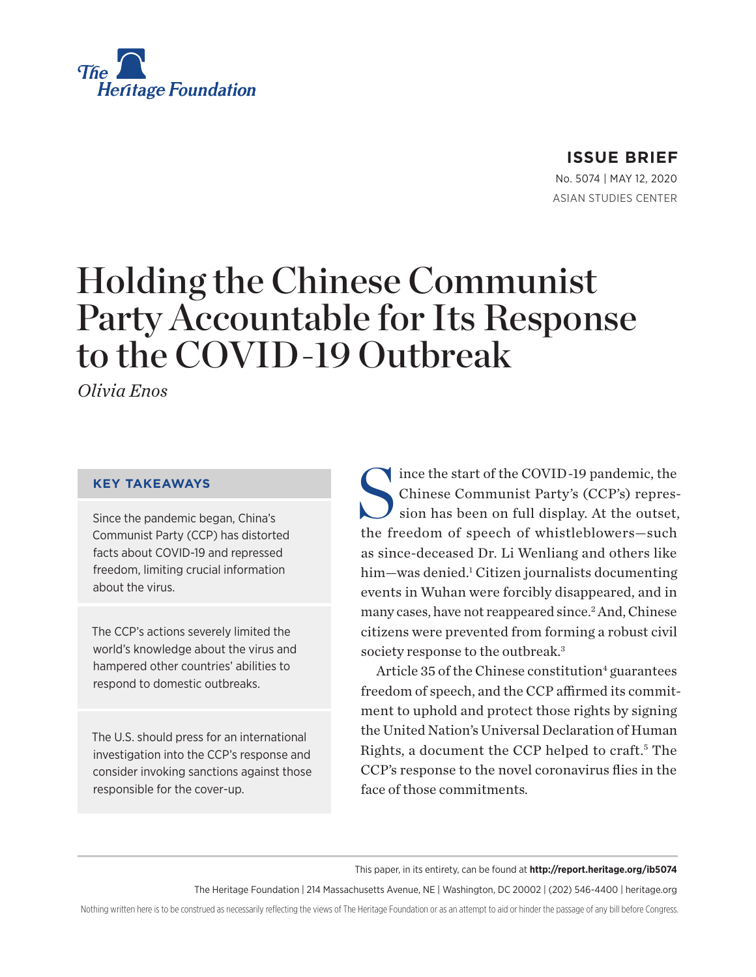

## **ISSUE BRIEF**

No. 5074 | May 12, 2020 ASIAN STUDIES CENTER

# Holding the Chinese Communist Party Accountable for Its Response to the COVID-19 Outbreak

*Olivia Enos*

#### **KEY TAKEAWAYS**

Since the pandemic began, China's Communist Party (CCP) has distorted facts about COVID-19 and repressed freedom, limiting crucial information about the virus.

The CCP's actions severely limited the world's knowledge about the virus and hampered other countries' abilities to respond to domestic outbreaks.

The U.S. should press for an international investigation into the CCP's response and consider invoking sanctions against those responsible for the cover-up.

Since the start of the COVID-19 pandemic, the<br>Chinese Communist Party's (CCP's) repres-<br>sion has been on full display. At the outset, Chinese Communist Party's (CCP's) repression has been on full display. At the outset, the freedom of speech of whistleblowers—such as since-deceased Dr. Li Wenliang and others like him—was denied.<sup>1</sup> Citizen journalists documenting events in Wuhan were forcibly disappeared, and in many cases, have not reappeared since.<sup>2</sup> And, Chinese citizens were prevented from forming a robust civil society response to the outbreak.<sup>3</sup>

Article 35 of the Chinese constitution<sup>4</sup> guarantees freedom of speech, and the CCP affirmed its commitment to uphold and protect those rights by signing the United Nation's Universal Declaration of Human Rights, a document the CCP helped to craft.<sup>5</sup> The CCP's response to the novel coronavirus flies in the face of those commitments.

This paper, in its entirety, can be found at **http://report.heritage.org/ib5074**

The Heritage Foundation | 214 Massachusetts Avenue, NE | Washington, DC 20002 | (202) 546-4400 | heritage.org

Nothing written here is to be construed as necessarily reflecting the views of The Heritage Foundation or as an attempt to aid or hinder the passage of any bill before Congress.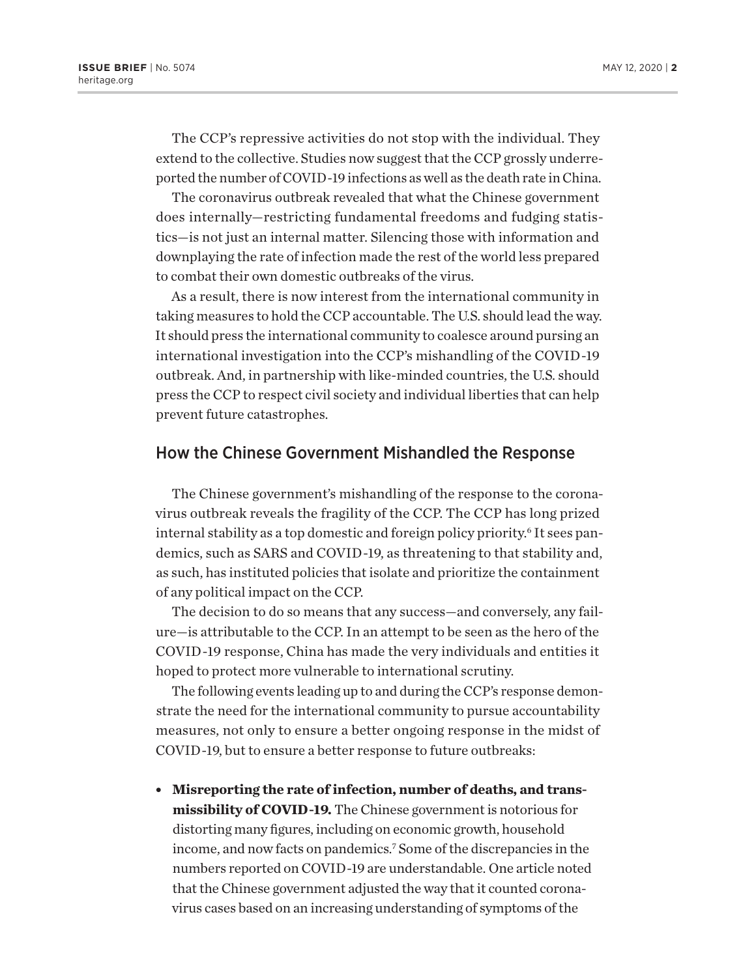The CCP's repressive activities do not stop with the individual. They extend to the collective. Studies now suggest that the CCP grossly underreported the number of COVID-19 infections as well as the death rate in China.

The coronavirus outbreak revealed that what the Chinese government does internally—restricting fundamental freedoms and fudging statistics—is not just an internal matter. Silencing those with information and downplaying the rate of infection made the rest of the world less prepared to combat their own domestic outbreaks of the virus.

As a result, there is now interest from the international community in taking measures to hold the CCP accountable. The U.S. should lead the way. It should press the international community to coalesce around pursing an international investigation into the CCP's mishandling of the COVID-19 outbreak. And, in partnership with like-minded countries, the U.S. should press the CCP to respect civil society and individual liberties that can help prevent future catastrophes.

#### How the Chinese Government Mishandled the Response

The Chinese government's mishandling of the response to the coronavirus outbreak reveals the fragility of the CCP. The CCP has long prized internal stability as a top domestic and foreign policy priority.<sup>6</sup> It sees pandemics, such as SARS and COVID-19, as threatening to that stability and, as such, has instituted policies that isolate and prioritize the containment of any political impact on the CCP.

The decision to do so means that any success—and conversely, any failure—is attributable to the CCP. In an attempt to be seen as the hero of the COVID-19 response, China has made the very individuals and entities it hoped to protect more vulnerable to international scrutiny.

The following events leading up to and during the CCP's response demonstrate the need for the international community to pursue accountability measures, not only to ensure a better ongoing response in the midst of COVID-19, but to ensure a better response to future outbreaks:

**• Misreporting the rate of infection, number of deaths, and transmissibility of COVID-19.** The Chinese government is notorious for distorting many figures, including on economic growth, household income, and now facts on pandemics.7 Some of the discrepancies in the numbers reported on COVID-19 are understandable. One article noted that the Chinese government adjusted the way that it counted coronavirus cases based on an increasing understanding of symptoms of the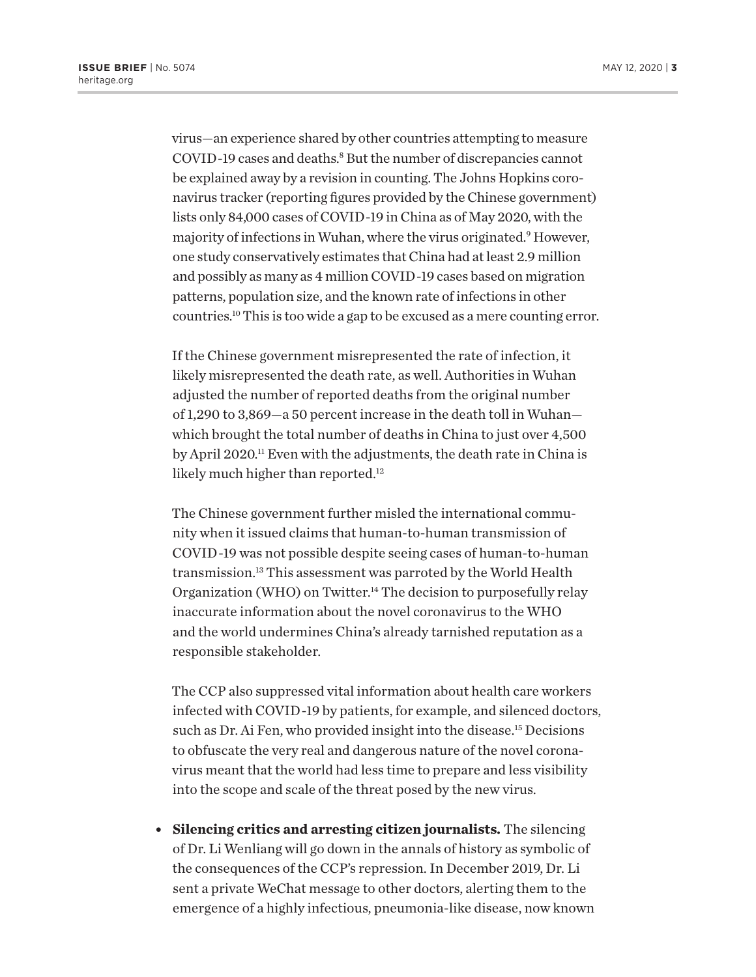virus—an experience shared by other countries attempting to measure COVID-19 cases and deaths.<sup>8</sup> But the number of discrepancies cannot be explained away by a revision in counting. The Johns Hopkins coronavirus tracker (reporting figures provided by the Chinese government) lists only 84,000 cases of COVID-19 in China as of May 2020, with the majority of infections in Wuhan, where the virus originated.9 However, one study conservatively estimates that China had at least 2.9 million and possibly as many as 4 million COVID-19 cases based on migration patterns, population size, and the known rate of infections in other countries.10 This is too wide a gap to be excused as a mere counting error.

If the Chinese government misrepresented the rate of infection, it likely misrepresented the death rate, as well. Authorities in Wuhan adjusted the number of reported deaths from the original number of 1,290 to 3,869—a 50 percent increase in the death toll in Wuhan which brought the total number of deaths in China to just over 4,500 by April 2020.<sup>11</sup> Even with the adjustments, the death rate in China is likely much higher than reported.<sup>12</sup>

The Chinese government further misled the international community when it issued claims that human-to-human transmission of COVID-19 was not possible despite seeing cases of human-to-human transmission.13 This assessment was parroted by the World Health Organization (WHO) on Twitter.<sup>14</sup> The decision to purposefully relay inaccurate information about the novel coronavirus to the WHO and the world undermines China's already tarnished reputation as a responsible stakeholder.

The CCP also suppressed vital information about health care workers infected with COVID-19 by patients, for example, and silenced doctors, such as Dr. Ai Fen, who provided insight into the disease.<sup>15</sup> Decisions to obfuscate the very real and dangerous nature of the novel coronavirus meant that the world had less time to prepare and less visibility into the scope and scale of the threat posed by the new virus.

<sup>l</sup> **Silencing critics and arresting citizen journalists.** The silencing of Dr. Li Wenliang will go down in the annals of history as symbolic of the consequences of the CCP's repression. In December 2019, Dr. Li sent a private WeChat message to other doctors, alerting them to the emergence of a highly infectious, pneumonia-like disease, now known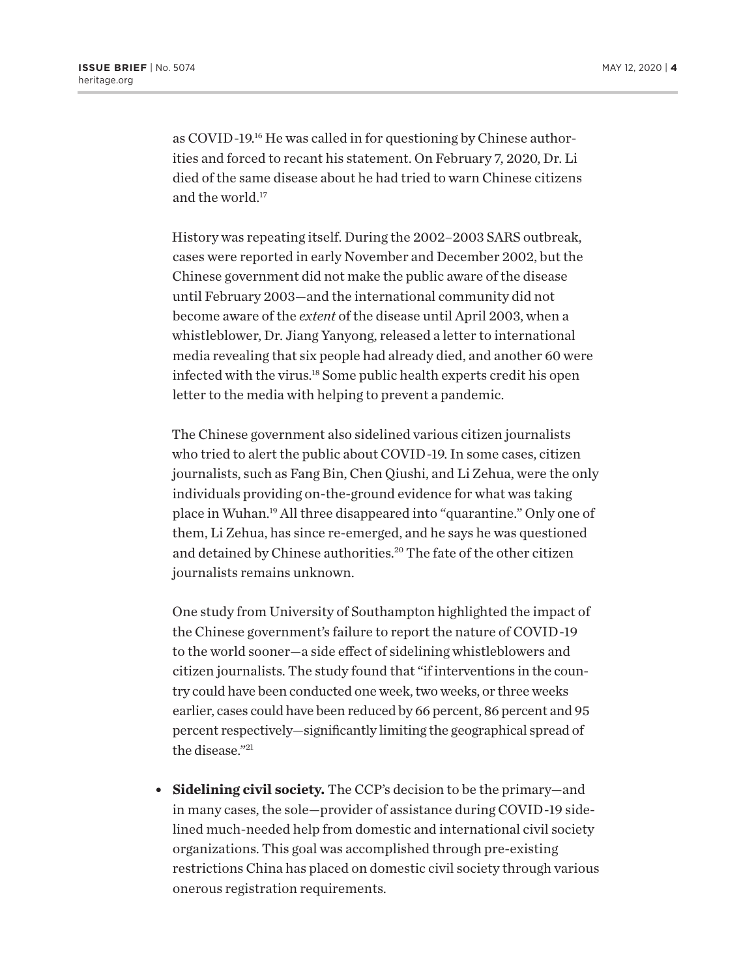as COVID-19.16 He was called in for questioning by Chinese authorities and forced to recant his statement. On February 7, 2020, Dr. Li died of the same disease about he had tried to warn Chinese citizens and the world.17

History was repeating itself. During the 2002–2003 SARS outbreak, cases were reported in early November and December 2002, but the Chinese government did not make the public aware of the disease until February 2003—and the international community did not become aware of the *extent* of the disease until April 2003, when a whistleblower, Dr. Jiang Yanyong, released a letter to international media revealing that six people had already died, and another 60 were infected with the virus.18 Some public health experts credit his open letter to the media with helping to prevent a pandemic.

The Chinese government also sidelined various citizen journalists who tried to alert the public about COVID-19. In some cases, citizen journalists, such as Fang Bin, Chen Qiushi, and Li Zehua, were the only individuals providing on-the-ground evidence for what was taking place in Wuhan.19 All three disappeared into "quarantine." Only one of them, Li Zehua, has since re-emerged, and he says he was questioned and detained by Chinese authorities.<sup>20</sup> The fate of the other citizen journalists remains unknown.

One study from University of Southampton highlighted the impact of the Chinese government's failure to report the nature of COVID-19 to the world sooner—a side effect of sidelining whistleblowers and citizen journalists. The study found that "if interventions in the country could have been conducted one week, two weeks, or three weeks earlier, cases could have been reduced by 66 percent, 86 percent and 95 percent respectively—significantly limiting the geographical spread of the disease."21

• **Sidelining civil society.** The CCP's decision to be the primary—and in many cases, the sole—provider of assistance during COVID-19 sidelined much-needed help from domestic and international civil society organizations. This goal was accomplished through pre-existing restrictions China has placed on domestic civil society through various onerous registration requirements.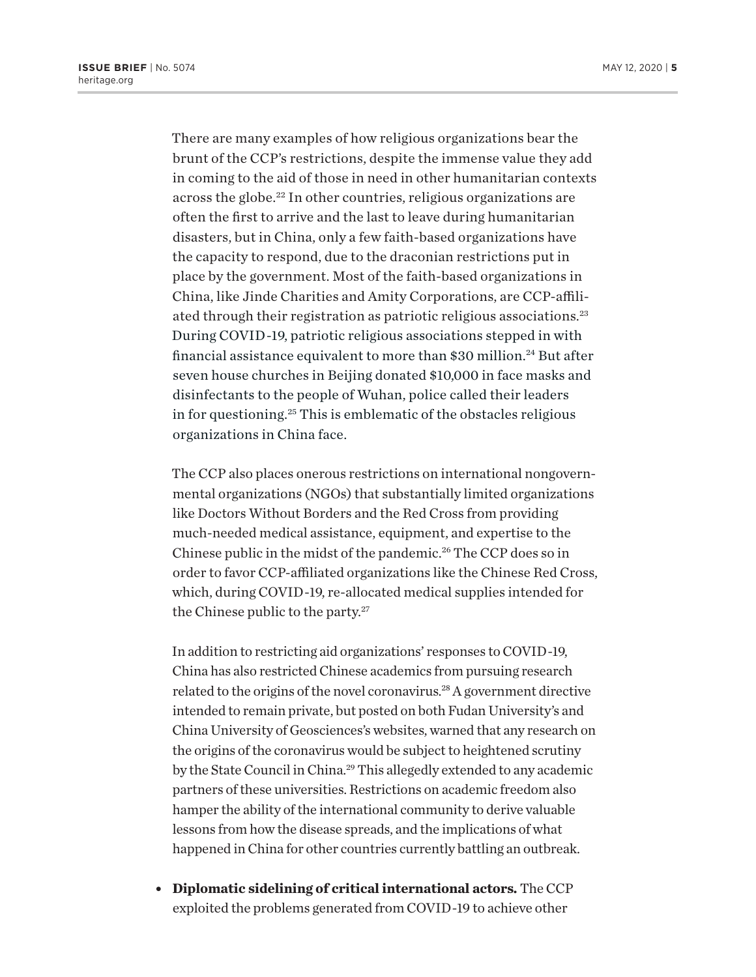There are many examples of how religious organizations bear the brunt of the CCP's restrictions, despite the immense value they add in coming to the aid of those in need in other humanitarian contexts across the globe.22 In other countries, religious organizations are often the first to arrive and the last to leave during humanitarian disasters, but in China, only a few faith-based organizations have the capacity to respond, due to the draconian restrictions put in place by the government. Most of the faith-based organizations in China, like Jinde Charities and Amity Corporations, are CCP-affiliated through their registration as patriotic religious associations.23 During COVID-19, patriotic religious associations stepped in with financial assistance equivalent to more than \$30 million.<sup>24</sup> But after seven house churches in Beijing donated \$10,000 in face masks and disinfectants to the people of Wuhan, police called their leaders in for questioning.25 This is emblematic of the obstacles religious organizations in China face.

The CCP also places onerous restrictions on international nongovernmental organizations (NGOs) that substantially limited organizations like Doctors Without Borders and the Red Cross from providing much-needed medical assistance, equipment, and expertise to the Chinese public in the midst of the pandemic.26 The CCP does so in order to favor CCP-affiliated organizations like the Chinese Red Cross, which, during COVID-19, re-allocated medical supplies intended for the Chinese public to the party.27

In addition to restricting aid organizations' responses to COVID-19, China has also restricted Chinese academics from pursuing research related to the origins of the novel coronavirus.28 A government directive intended to remain private, but posted on both Fudan University's and China University of Geosciences's websites, warned that any research on the origins of the coronavirus would be subject to heightened scrutiny by the State Council in China.<sup>29</sup> This allegedly extended to any academic partners of these universities. Restrictions on academic freedom also hamper the ability of the international community to derive valuable lessons from how the disease spreads, and the implications of what happened in China for other countries currently battling an outbreak.

<sup>l</sup> **Diplomatic sidelining of critical international actors.** The CCP exploited the problems generated from COVID-19 to achieve other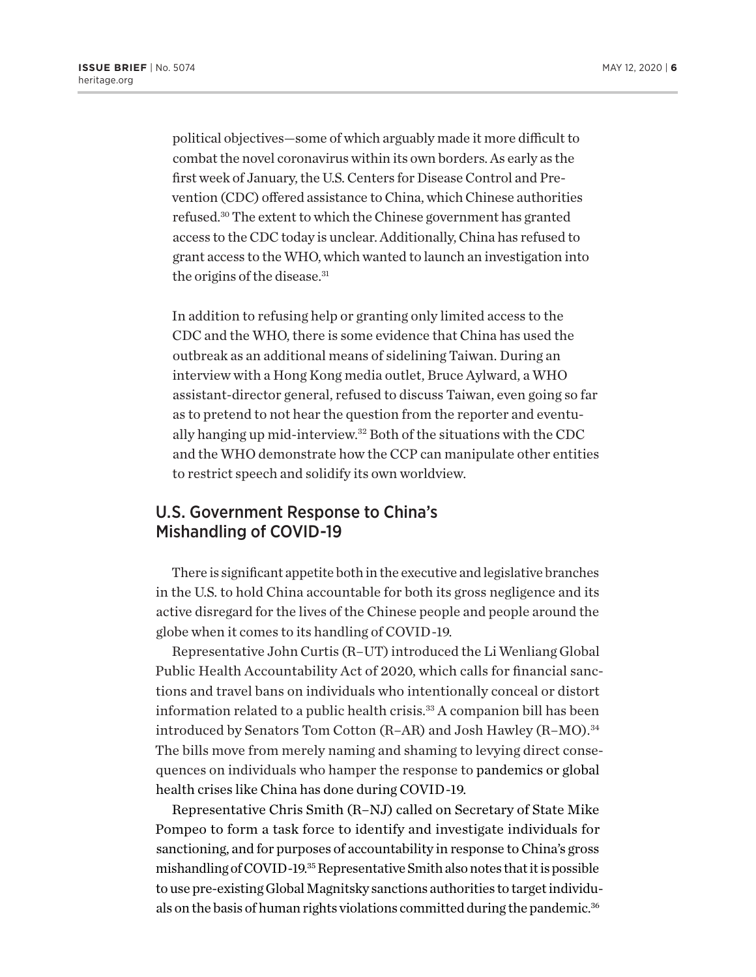political objectives—some of which arguably made it more difficult to combat the novel coronavirus within its own borders. As early as the first week of January, the U.S. Centers for Disease Control and Prevention (CDC) offered assistance to China, which Chinese authorities refused.30 The extent to which the Chinese government has granted access to the CDC today is unclear. Additionally, China has refused to grant access to the WHO, which wanted to launch an investigation into the origins of the disease.<sup>31</sup>

In addition to refusing help or granting only limited access to the CDC and the WHO, there is some evidence that China has used the outbreak as an additional means of sidelining Taiwan. During an interview with a Hong Kong media outlet, Bruce Aylward, a WHO assistant-director general, refused to discuss Taiwan, even going so far as to pretend to not hear the question from the reporter and eventually hanging up mid-interview.32 Both of the situations with the CDC and the WHO demonstrate how the CCP can manipulate other entities to restrict speech and solidify its own worldview.

### U.S. Government Response to China's Mishandling of COVID-19

There is significant appetite both in the executive and legislative branches in the U.S. to hold China accountable for both its gross negligence and its active disregard for the lives of the Chinese people and people around the globe when it comes to its handling of COVID-19.

Representative John Curtis (R–UT) introduced the Li Wenliang Global Public Health Accountability Act of 2020, which calls for financial sanctions and travel bans on individuals who intentionally conceal or distort information related to a public health crisis.<sup>33</sup> A companion bill has been introduced by Senators Tom Cotton (R-AR) and Josh Hawley (R-MO).<sup>34</sup> The bills move from merely naming and shaming to levying direct consequences on individuals who hamper the response to pandemics or global health crises like China has done during COVID-19.

Representative Chris Smith (R–NJ) called on Secretary of State Mike Pompeo to form a task force to identify and investigate individuals for sanctioning, and for purposes of accountability in response to China's gross mishandling of COVID-19.35 Representative Smith also notes that it is possible to use pre-existing Global Magnitsky sanctions authorities to target individuals on the basis of human rights violations committed during the pandemic.<sup>36</sup>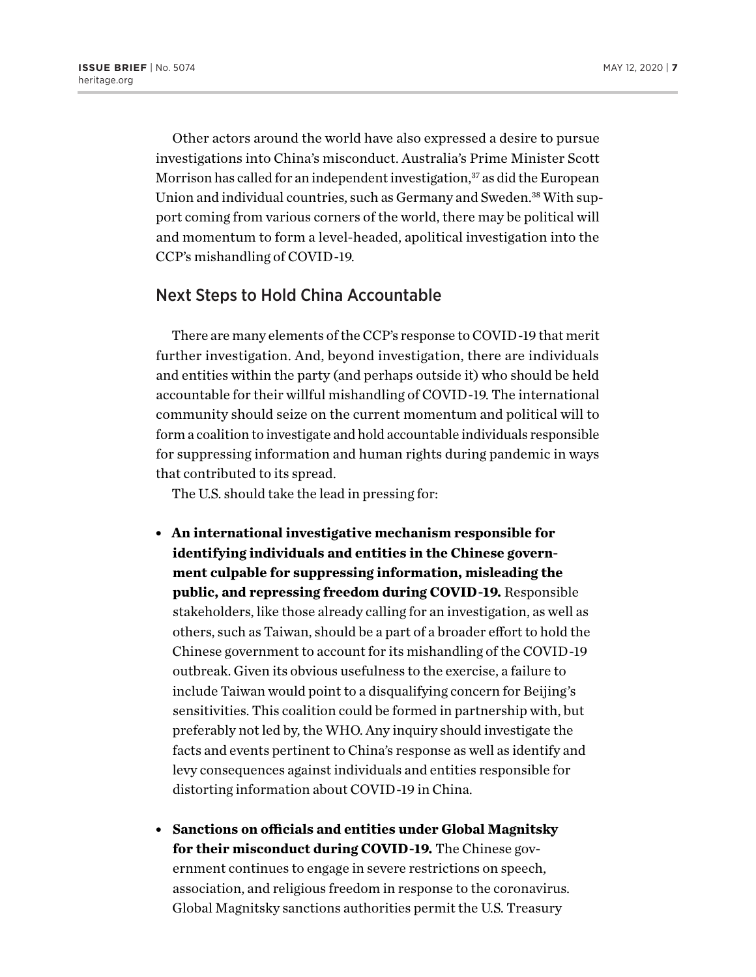Other actors around the world have also expressed a desire to pursue investigations into China's misconduct. Australia's Prime Minister Scott Morrison has called for an independent investigation,<sup>37</sup> as did the European Union and individual countries, such as Germany and Sweden.<sup>38</sup> With support coming from various corners of the world, there may be political will and momentum to form a level-headed, apolitical investigation into the CCP's mishandling of COVID-19.

## Next Steps to Hold China Accountable

There are many elements of the CCP's response to COVID-19 that merit further investigation. And, beyond investigation, there are individuals and entities within the party (and perhaps outside it) who should be held accountable for their willful mishandling of COVID-19. The international community should seize on the current momentum and political will to form a coalition to investigate and hold accountable individuals responsible for suppressing information and human rights during pandemic in ways that contributed to its spread.

The U.S. should take the lead in pressing for:

- **An international investigative mechanism responsible for identifying individuals and entities in the Chinese government culpable for suppressing information, misleading the public, and repressing freedom during COVID-19.** Responsible stakeholders, like those already calling for an investigation, as well as others, such as Taiwan, should be a part of a broader effort to hold the Chinese government to account for its mishandling of the COVID-19 outbreak. Given its obvious usefulness to the exercise, a failure to include Taiwan would point to a disqualifying concern for Beijing's sensitivities. This coalition could be formed in partnership with, but preferably not led by, the WHO. Any inquiry should investigate the facts and events pertinent to China's response as well as identify and levy consequences against individuals and entities responsible for distorting information about COVID-19 in China.
- <sup>l</sup> **Sanctions on officials and entities under Global Magnitsky for their misconduct during COVID-19.** The Chinese government continues to engage in severe restrictions on speech, association, and religious freedom in response to the coronavirus. Global Magnitsky sanctions authorities permit the U.S. Treasury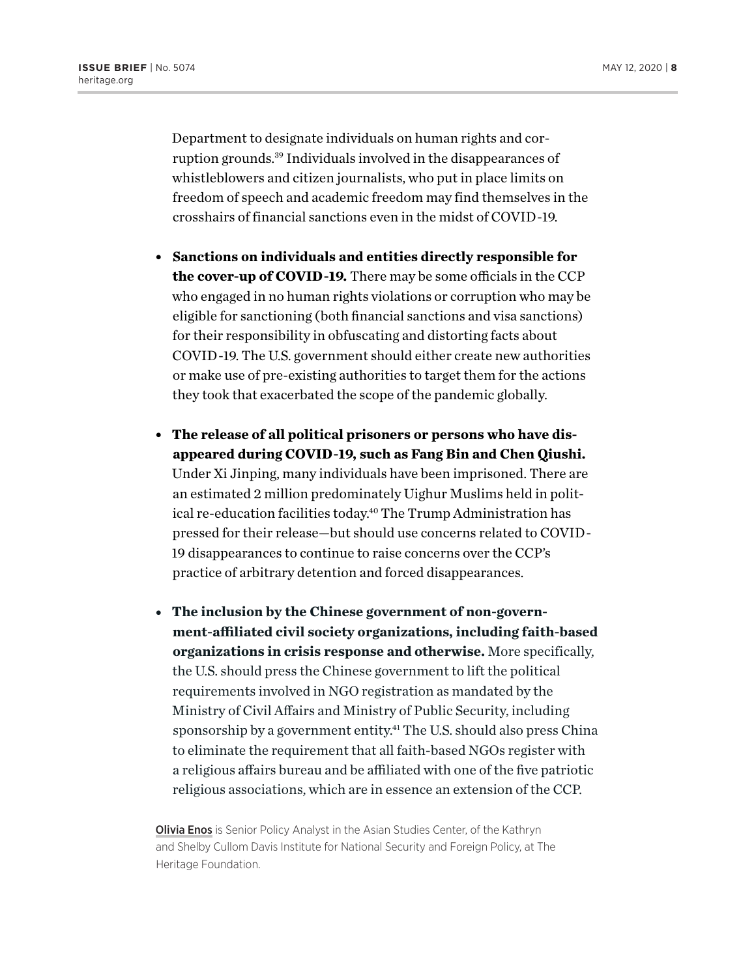Department to designate individuals on human rights and corruption grounds.39 Individuals involved in the disappearances of whistleblowers and citizen journalists, who put in place limits on freedom of speech and academic freedom may find themselves in the crosshairs of financial sanctions even in the midst of COVID-19.

- <sup>l</sup> **Sanctions on individuals and entities directly responsible for the cover-up of COVID-19.** There may be some officials in the CCP who engaged in no human rights violations or corruption who may be eligible for sanctioning (both financial sanctions and visa sanctions) for their responsibility in obfuscating and distorting facts about COVID-19. The U.S. government should either create new authorities or make use of pre-existing authorities to target them for the actions they took that exacerbated the scope of the pandemic globally.
- The release of all political prisoners or persons who have dis**appeared during COVID-19, such as Fang Bin and Chen Qiushi.**  Under Xi Jinping, many individuals have been imprisoned. There are an estimated 2 million predominately Uighur Muslims held in political re-education facilities today.<sup>40</sup> The Trump Administration has pressed for their release—but should use concerns related to COVID-19 disappearances to continue to raise concerns over the CCP's practice of arbitrary detention and forced disappearances.
- The inclusion by the Chinese government of non-govern**ment-affiliated civil society organizations, including faith-based organizations in crisis response and otherwise.** More specifically, the U.S. should press the Chinese government to lift the political requirements involved in NGO registration as mandated by the Ministry of Civil Affairs and Ministry of Public Security, including sponsorship by a government entity.41 The U.S. should also press China to eliminate the requirement that all faith-based NGOs register with a religious affairs bureau and be affiliated with one of the five patriotic religious associations, which are in essence an extension of the CCP.

**Olivia Enos** is Senior Policy Analyst in the Asian Studies Center, of the Kathryn and Shelby Cullom Davis Institute for National Security and Foreign Policy, at The Heritage Foundation.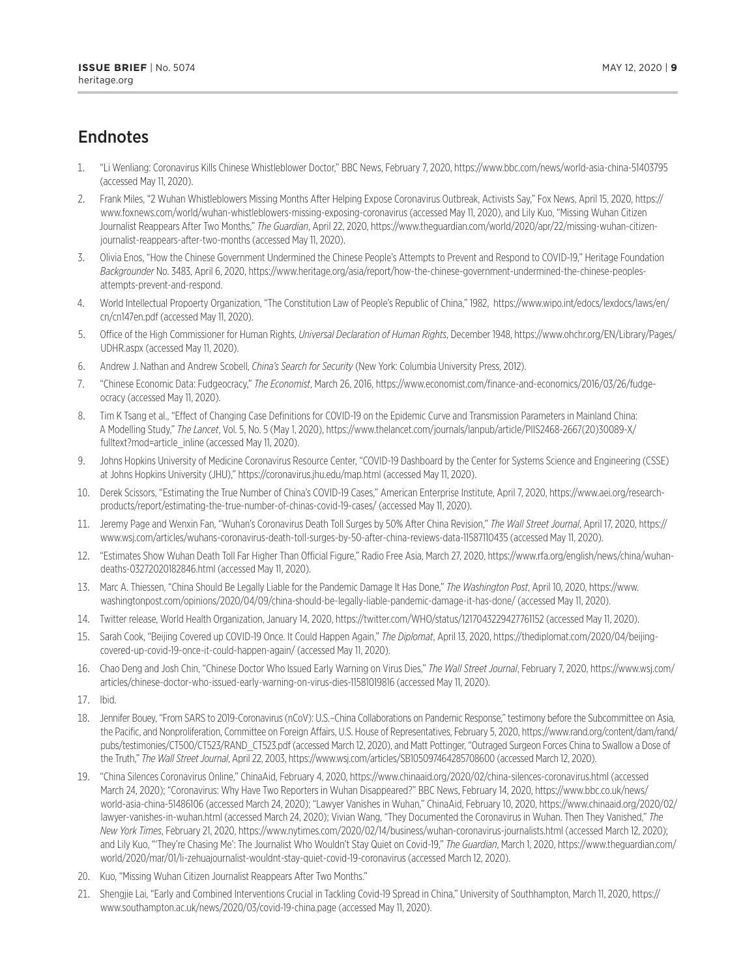## **Endnotes**

- 1. "Li Wenliang: Coronavirus Kills Chinese Whistleblower Doctor," BBC News, February 7, 2020, https://www.bbc.com/news/world-asia-china-51403795 (accessed May 11, 2020).
- 2. Frank Miles, "2 Wuhan Whistleblowers Missing Months After Helping Expose Coronavirus Outbreak, Activists Say," Fox News, April 15, 2020, https:// www.foxnews.com/world/wuhan-whistleblowers-missing-exposing-coronavirus (accessed May 11, 2020), and Lily Kuo, "Missing Wuhan Citizen Journalist Reappears After Two Months," *The Guardian*, April 22, 2020, https://www.theguardian.com/world/2020/apr/22/missing-wuhan-citizenjournalist-reappears-after-two-months (accessed May 11, 2020).
- 3. Olivia Enos, "How the Chinese Government Undermined the Chinese People's Attempts to Prevent and Respond to COVID-19," Heritage Foundation *Backgrounder* No. 3483, April 6, 2020, https://www.heritage.org/asia/report/how-the-chinese-government-undermined-the-chinese-peoplesattempts-prevent-and-respond.
- 4. World Intellectual Propoerty Organization, "The Constitution Law of People's Republic of China," 1982, https://www.wipo.int/edocs/lexdocs/laws/en/ cn/cn147en.pdf (accessed May 11, 2020).
- 5. Office of the High Commissioner for Human Rights, *Universal Declaration of Human Rights*, December 1948, https://www.ohchr.org/EN/Library/Pages/ UDHR.aspx (accessed May 11, 2020).
- 6. Andrew J. Nathan and Andrew Scobell, *China's Search for Security* (New York: Columbia University Press, 2012).
- 7. "Chinese Economic Data: Fudgeocracy," *The Economist*, March 26, 2016, https://www.economist.com/finance-and-economics/2016/03/26/fudgeocracy (accessed May 11, 2020).
- 8. Tim K Tsang et al., "Effect of Changing Case Definitions for COVID-19 on the Epidemic Curve and Transmission Parameters in Mainland China: A Modelling Study," *The Lancet*, Vol. 5, No. 5 (May 1, 2020), https://www.thelancet.com/journals/lanpub/article/PIIS2468-2667(20)30089-X/ fulltext?mod=article\_inline (accessed May 11, 2020).
- 9. Johns Hopkins University of Medicine Coronavirus Resource Center, "COVID-19 Dashboard by the Center for Systems Science and Engineering (CSSE) at Johns Hopkins University (JHU)," https://coronavirus.jhu.edu/map.html (accessed May 11, 2020).
- 10. Derek Scissors, "Estimating the True Number of China's COVID-19 Cases," American Enterprise Institute, April 7, 2020, https://www.aei.org/researchproducts/report/estimating-the-true-number-of-chinas-covid-19-cases/ (accessed May 11, 2020).
- 11. Jeremy Page and Wenxin Fan, "Wuhan's Coronavirus Death Toll Surges by 50% After China Revision," *The Wall Street Journal*, April 17, 2020, https:// www.wsj.com/articles/wuhans-coronavirus-death-toll-surges-by-50-after-china-reviews-data-11587110435 (accessed May 11, 2020).
- 12. "Estimates Show Wuhan Death Toll Far Higher Than Official Figure," Radio Free Asia, March 27, 2020, https://www.rfa.org/english/news/china/wuhandeaths-03272020182846.html (accessed May 11, 2020).
- 13. Marc A. Thiessen, "China Should Be Legally Liable for the Pandemic Damage It Has Done," *The Washington Post*, April 10, 2020, https://www. washingtonpost.com/opinions/2020/04/09/china-should-be-legally-liable-pandemic-damage-it-has-done/ (accessed May 11, 2020).
- 14. Twitter release, World Health Organization, January 14, 2020, https://twitter.com/WHO/status/1217043229427761152 (accessed May 11, 2020).
- 15. Sarah Cook, "Beijing Covered up COVID-19 Once. It Could Happen Again," *The Diplomat*, April 13, 2020, https://thediplomat.com/2020/04/beijingcovered-up-covid-19-once-it-could-happen-again/ (accessed May 11, 2020).
- 16. Chao Deng and Josh Chin, "Chinese Doctor Who Issued Early Warning on Virus Dies," *The Wall Street Journal*, February 7, 2020, https://www.wsj.com/ articles/chinese-doctor-who-issued-early-warning-on-virus-dies-11581019816 (accessed May 11, 2020).
- 17. Ibid.
- 18. Jennifer Bouey, "From SARS to 2019-Coronavirus (nCoV): U.S.–China Collaborations on Pandemic Response," testimony before the Subcommittee on Asia, the Pacific, and Nonproliferation, Committee on Foreign Affairs, U.S. House of Representatives, February 5, 2020, https://www.rand.org/content/dam/rand/ pubs/testimonies/CT500/CT523/RAND\_CT523.pdf (accessed March 12, 2020), and Matt Pottinger, "Outraged Surgeon Forces China to Swallow a Dose of the Truth," *The Wall Street Journal*, April 22, 2003, https://www.wsj.com/articles/SB105097464285708600 (accessed March 12, 2020).
- 19. "China Silences Coronavirus Online," ChinaAid, February 4, 2020, https://www.chinaaid.org/2020/02/china-silences-coronavirus.html (accessed March 24, 2020); "Coronavirus: Why Have Two Reporters in Wuhan Disappeared?" BBC News, February 14, 2020, https://www.bbc.co.uk/news/ world-asia-china-51486106 (accessed March 24, 2020); "Lawyer Vanishes in Wuhan," ChinaAid, February 10, 2020, https://www.chinaaid.org/2020/02/ lawyer-vanishes-in-wuhan.html (accessed March 24, 2020); Vivian Wang, "They Documented the Coronavirus in Wuhan. Then They Vanished," *The New York Times*, February 21, 2020, https://www.nytimes.com/2020/02/14/business/wuhan-coronavirus-journalists.html (accessed March 12, 2020); and Lily Kuo, "'They're Chasing Me': The Journalist Who Wouldn't Stay Quiet on Covid-19," *The Guardian*, March 1, 2020, https://www.theguardian.com/ world/2020/mar/01/li-zehuajournalist-wouldnt-stay-quiet-covid-19-coronavirus (accessed March 12, 2020).
- 20. Kuo, "Missing Wuhan Citizen Journalist Reappears After Two Months."
- 21. Shengjie Lai, "Early and Combined Interventions Crucial in Tackling Covid-19 Spread in China," University of Southhampton, March 11, 2020, https:// www.southampton.ac.uk/news/2020/03/covid-19-china.page (accessed May 11, 2020).